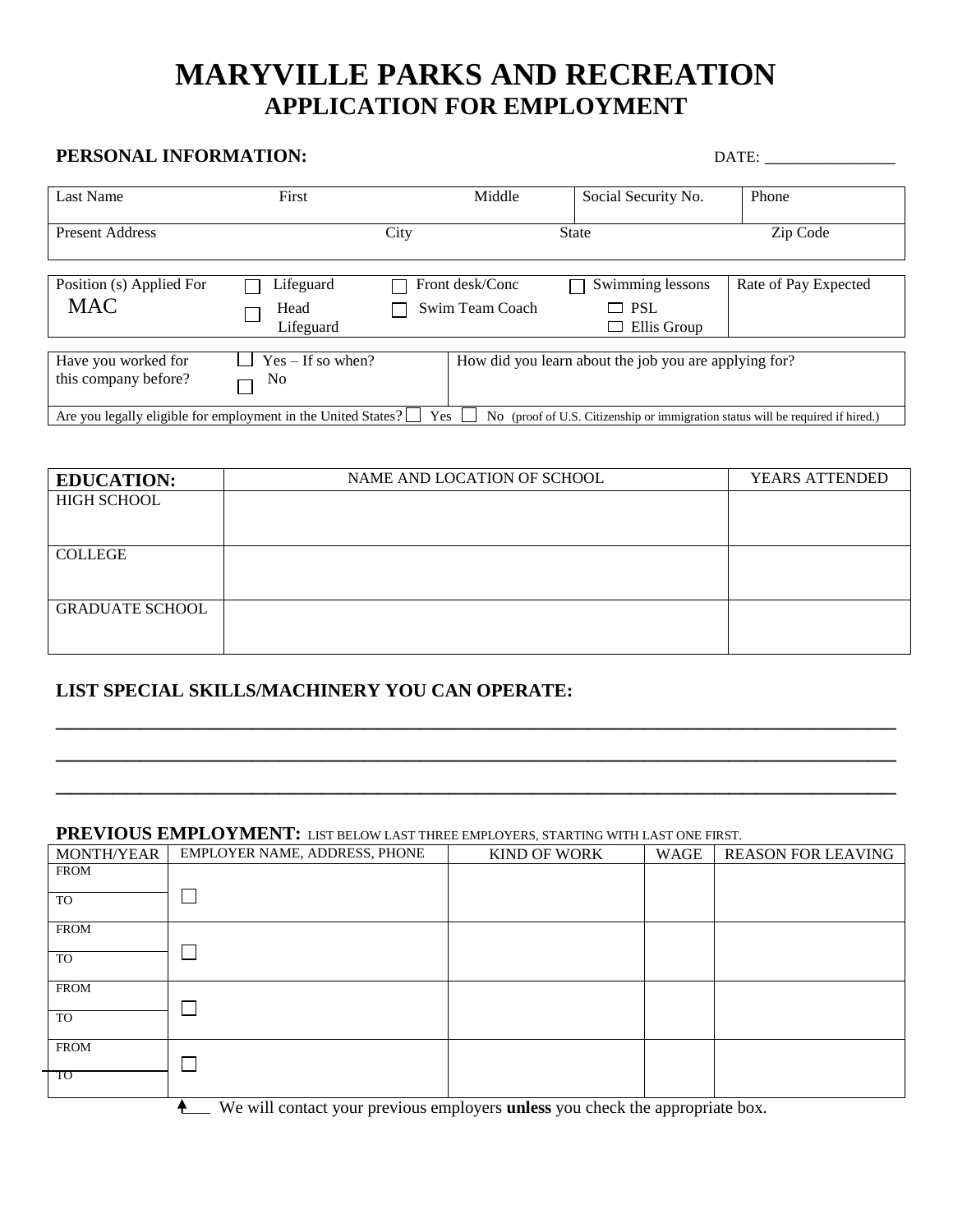# **MARYVILLE PARKS AND RECREATION APPLICATION FOR EMPLOYMENT**

# **PERSONAL INFORMATION:** DATE: \_\_\_\_\_\_\_\_\_\_\_\_\_\_

| Last Name                                                                                                                                               | First               |      | Middle          | Social Security No.                                   | Phone                |
|---------------------------------------------------------------------------------------------------------------------------------------------------------|---------------------|------|-----------------|-------------------------------------------------------|----------------------|
|                                                                                                                                                         |                     |      |                 |                                                       |                      |
| <b>Present Address</b>                                                                                                                                  |                     | City |                 | <b>State</b>                                          | Zip Code             |
|                                                                                                                                                         |                     |      |                 |                                                       |                      |
|                                                                                                                                                         |                     |      |                 |                                                       |                      |
| Position (s) Applied For                                                                                                                                | Lifeguard           |      | Front desk/Conc | Swimming lessons                                      | Rate of Pay Expected |
| <b>MAC</b>                                                                                                                                              | Head                |      | Swim Team Coach | $\Box$ PSL                                            |                      |
|                                                                                                                                                         | Lifeguard           |      |                 | Ellis Group<br>ப                                      |                      |
|                                                                                                                                                         |                     |      |                 |                                                       |                      |
| Have you worked for                                                                                                                                     | $Yes - If so when?$ |      |                 | How did you learn about the job you are applying for? |                      |
| this company before?                                                                                                                                    | No                  |      |                 |                                                       |                      |
| Are you legally eligible for employment in the United States?<br>Yes<br>No (proof of U.S. Citizenship or immigration status will be required if hired.) |                     |      |                 |                                                       |                      |

| <b>EDUCATION:</b>      | NAME AND LOCATION OF SCHOOL | <b>YEARS ATTENDED</b> |
|------------------------|-----------------------------|-----------------------|
| <b>HIGH SCHOOL</b>     |                             |                       |
|                        |                             |                       |
|                        |                             |                       |
| <b>COLLEGE</b>         |                             |                       |
|                        |                             |                       |
|                        |                             |                       |
| <b>GRADUATE SCHOOL</b> |                             |                       |
|                        |                             |                       |
|                        |                             |                       |

\_\_\_\_\_\_\_\_\_\_\_\_\_\_\_\_\_\_\_\_\_\_\_\_\_\_\_\_\_\_\_\_\_\_\_\_\_\_\_\_\_\_\_\_\_\_\_\_\_\_\_\_\_\_\_\_\_\_\_\_

\_\_\_\_\_\_\_\_\_\_\_\_\_\_\_\_\_\_\_\_\_\_\_\_\_\_\_\_\_\_\_\_\_\_\_\_\_\_\_\_\_\_\_\_\_\_\_\_\_\_\_\_\_\_\_\_\_\_\_\_

\_\_\_\_\_\_\_\_\_\_\_\_\_\_\_\_\_\_\_\_\_\_\_\_\_\_\_\_\_\_\_\_\_\_\_\_\_\_\_\_\_\_\_\_\_\_\_\_\_\_\_\_\_\_\_\_\_\_\_\_

### **LIST SPECIAL SKILLS/MACHINERY YOU CAN OPERATE:**

### **PREVIOUS EMPLOYMENT:** LIST BELOW LAST THREE EMPLOYERS, STARTING WITH LAST ONE FIRST.

| MONTH/YEAR  | EMPLOYER NAME, ADDRESS, PHONE | $\cdots$<br><b>KIND OF WORK</b> | WAGE | <b>REASON FOR LEAVING</b> |
|-------------|-------------------------------|---------------------------------|------|---------------------------|
| <b>FROM</b> |                               |                                 |      |                           |
| <b>TO</b>   |                               |                                 |      |                           |
| <b>FROM</b> |                               |                                 |      |                           |
| <b>TO</b>   |                               |                                 |      |                           |
| <b>FROM</b> |                               |                                 |      |                           |
| TO          |                               |                                 |      |                           |
| <b>FROM</b> |                               |                                 |      |                           |
| TO          |                               |                                 |      |                           |

We will contact your previous employers **unless** you check the appropriate box.